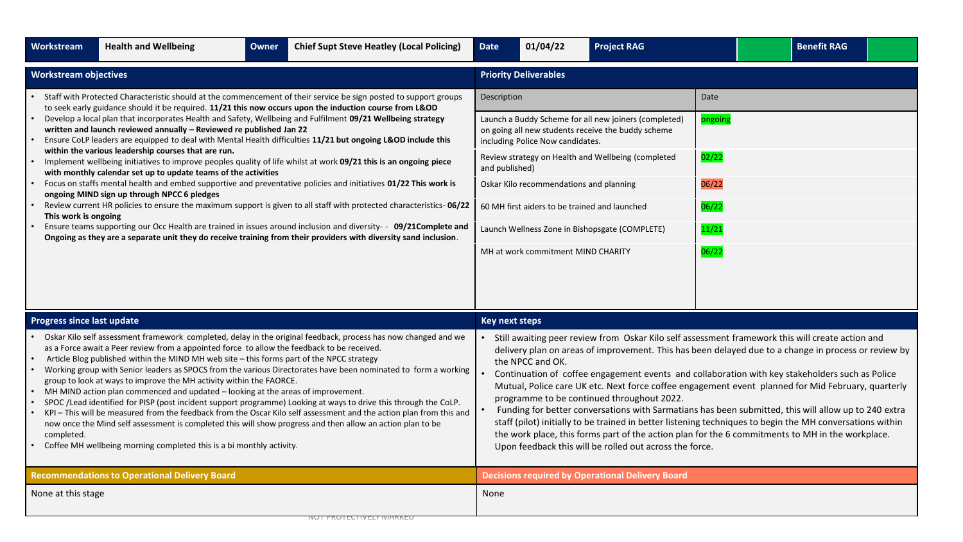| Workstream                                                                                                                                                                                                                                                                                                                                                                                                                                                                                                                                                                                                                                                                                                                                                                                                                                                                                                                                                                                                                                                                                                                                                                                                                                                                                                                               | <b>Health and Wellbeing</b>                          | Owner | <b>Chief Supt Steve Heatley (Local Policing)</b> | <b>Date</b>                                                                                                                                                                                                                                                                                                                                                                                                                                                                                | 01/04/22         | <b>Project RAG</b>                                                                                                                                                                                                                                                                                                                                                                                                                                                                                                                                                                                                                                                                                                                                                                                                                                  |  |  | <b>Benefit RAG</b> |  |  |
|------------------------------------------------------------------------------------------------------------------------------------------------------------------------------------------------------------------------------------------------------------------------------------------------------------------------------------------------------------------------------------------------------------------------------------------------------------------------------------------------------------------------------------------------------------------------------------------------------------------------------------------------------------------------------------------------------------------------------------------------------------------------------------------------------------------------------------------------------------------------------------------------------------------------------------------------------------------------------------------------------------------------------------------------------------------------------------------------------------------------------------------------------------------------------------------------------------------------------------------------------------------------------------------------------------------------------------------|------------------------------------------------------|-------|--------------------------------------------------|--------------------------------------------------------------------------------------------------------------------------------------------------------------------------------------------------------------------------------------------------------------------------------------------------------------------------------------------------------------------------------------------------------------------------------------------------------------------------------------------|------------------|-----------------------------------------------------------------------------------------------------------------------------------------------------------------------------------------------------------------------------------------------------------------------------------------------------------------------------------------------------------------------------------------------------------------------------------------------------------------------------------------------------------------------------------------------------------------------------------------------------------------------------------------------------------------------------------------------------------------------------------------------------------------------------------------------------------------------------------------------------|--|--|--------------------|--|--|
| <b>Workstream objectives</b>                                                                                                                                                                                                                                                                                                                                                                                                                                                                                                                                                                                                                                                                                                                                                                                                                                                                                                                                                                                                                                                                                                                                                                                                                                                                                                             |                                                      |       |                                                  | <b>Priority Deliverables</b>                                                                                                                                                                                                                                                                                                                                                                                                                                                               |                  |                                                                                                                                                                                                                                                                                                                                                                                                                                                                                                                                                                                                                                                                                                                                                                                                                                                     |  |  |                    |  |  |
| Staff with Protected Characteristic should at the commencement of their service be sign posted to support groups<br>to seek early guidance should it be required. 11/21 this now occurs upon the induction course from L&OD<br>Develop a local plan that incorporates Health and Safety, Wellbeing and Fulfilment 09/21 Wellbeing strategy<br>written and launch reviewed annually - Reviewed re published Jan 22<br>Ensure CoLP leaders are equipped to deal with Mental Health difficulties 11/21 but ongoing L&OD include this<br>within the various leadership courses that are run.<br>Implement wellbeing initiatives to improve peoples quality of life whilst at work 09/21 this is an ongoing piece<br>with monthly calendar set up to update teams of the activities<br>Focus on staffs mental health and embed supportive and preventative policies and initiatives 01/22 This work is<br>ongoing MIND sign up through NPCC 6 pledges<br>Review current HR policies to ensure the maximum support is given to all staff with protected characteristics- 06/22<br>This work is ongoing<br>Ensure teams supporting our Occ Health are trained in issues around inclusion and diversity- - 09/21Complete and<br>Ongoing as they are a separate unit they do receive training from their providers with diversity sand inclusion. |                                                      |       |                                                  | Date<br>Description<br>Launch a Buddy Scheme for all new joiners (completed)<br>ongoing<br>on going all new students receive the buddy scheme<br>including Police Now candidates.<br>02/22<br>Review strategy on Health and Wellbeing (completed<br>and published)<br>06/22<br>Oskar Kilo recommendations and planning<br>06/22<br>60 MH first aiders to be trained and launched<br>11/21<br>Launch Wellness Zone in Bishopsgate (COMPLETE)<br>06/22<br>MH at work commitment MIND CHARITY |                  |                                                                                                                                                                                                                                                                                                                                                                                                                                                                                                                                                                                                                                                                                                                                                                                                                                                     |  |  |                    |  |  |
| <b>Progress since last update</b>                                                                                                                                                                                                                                                                                                                                                                                                                                                                                                                                                                                                                                                                                                                                                                                                                                                                                                                                                                                                                                                                                                                                                                                                                                                                                                        |                                                      |       |                                                  | <b>Key next steps</b>                                                                                                                                                                                                                                                                                                                                                                                                                                                                      |                  |                                                                                                                                                                                                                                                                                                                                                                                                                                                                                                                                                                                                                                                                                                                                                                                                                                                     |  |  |                    |  |  |
| Oskar Kilo self assessment framework completed, delay in the original feedback, process has now changed and we<br>as a Force await a Peer review from a appointed force to allow the feedback to be received.<br>Article Blog published within the MIND MH web site - this forms part of the NPCC strategy<br>Working group with Senior leaders as SPOCS from the various Directorates have been nominated to form a working<br>group to look at ways to improve the MH activity within the FAORCE.<br>MH MIND action plan commenced and updated - looking at the areas of improvement.<br>SPOC /Lead identified for PISP (post incident support programme) Looking at ways to drive this through the CoLP.<br>KPI - This will be measured from the feedback from the Oscar Kilo self assessment and the action plan from this and<br>now once the Mind self assessment is completed this will show progress and then allow an action plan to be<br>completed.<br>Coffee MH wellbeing morning completed this is a bi monthly activity.                                                                                                                                                                                                                                                                                                   |                                                      |       |                                                  |                                                                                                                                                                                                                                                                                                                                                                                                                                                                                            | the NPCC and OK. | Still awaiting peer review from Oskar Kilo self assessment framework this will create action and<br>delivery plan on areas of improvement. This has been delayed due to a change in process or review by<br>Continuation of coffee engagement events and collaboration with key stakeholders such as Police<br>Mutual, Police care UK etc. Next force coffee engagement event planned for Mid February, quarterly<br>programme to be continued throughout 2022.<br>Funding for better conversations with Sarmatians has been submitted, this will allow up to 240 extra<br>staff (pilot) initially to be trained in better listening techniques to begin the MH conversations within<br>the work place, this forms part of the action plan for the 6 commitments to MH in the workplace.<br>Upon feedback this will be rolled out across the force. |  |  |                    |  |  |
|                                                                                                                                                                                                                                                                                                                                                                                                                                                                                                                                                                                                                                                                                                                                                                                                                                                                                                                                                                                                                                                                                                                                                                                                                                                                                                                                          | <b>Recommendations to Operational Delivery Board</b> |       |                                                  |                                                                                                                                                                                                                                                                                                                                                                                                                                                                                            |                  | <b>Decisions required by Operational Delivery Board</b>                                                                                                                                                                                                                                                                                                                                                                                                                                                                                                                                                                                                                                                                                                                                                                                             |  |  |                    |  |  |
| None at this stage                                                                                                                                                                                                                                                                                                                                                                                                                                                                                                                                                                                                                                                                                                                                                                                                                                                                                                                                                                                                                                                                                                                                                                                                                                                                                                                       |                                                      |       |                                                  | None                                                                                                                                                                                                                                                                                                                                                                                                                                                                                       |                  |                                                                                                                                                                                                                                                                                                                                                                                                                                                                                                                                                                                                                                                                                                                                                                                                                                                     |  |  |                    |  |  |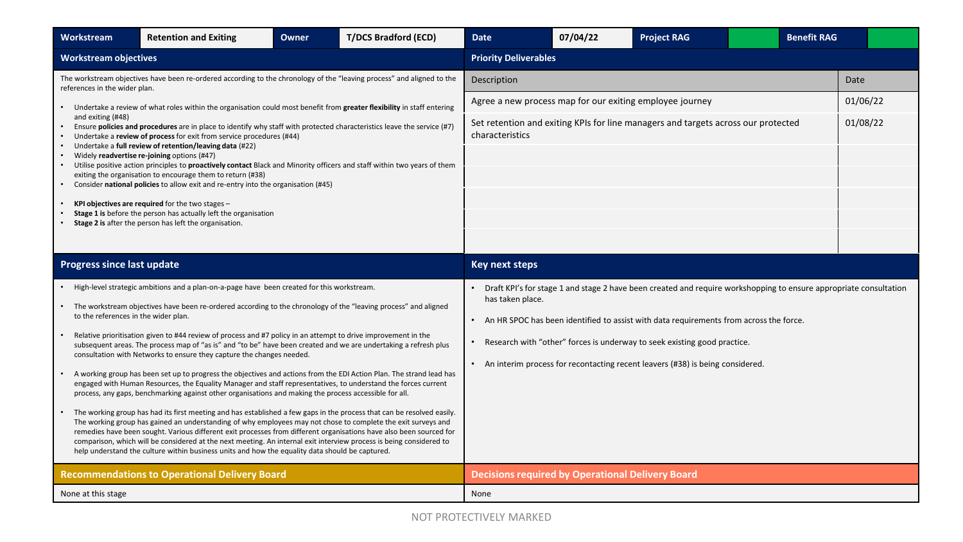| Workstream                           | <b>Retention and Exiting</b>                                                                                                                                                                                                                                                                                                                                                                                                                                                                                                                                                             | <b>Owner</b>                                                                                                                                                                                                                      | <b>T/DCS Bradford (ECD)</b> | <b>Date</b>                                                                     | 07/04/22 | <b>Project RAG</b> |  | <b>Benefit RAG</b> |  |  |  |  |
|--------------------------------------|------------------------------------------------------------------------------------------------------------------------------------------------------------------------------------------------------------------------------------------------------------------------------------------------------------------------------------------------------------------------------------------------------------------------------------------------------------------------------------------------------------------------------------------------------------------------------------------|-----------------------------------------------------------------------------------------------------------------------------------------------------------------------------------------------------------------------------------|-----------------------------|---------------------------------------------------------------------------------|----------|--------------------|--|--------------------|--|--|--|--|
| <b>Workstream objectives</b>         |                                                                                                                                                                                                                                                                                                                                                                                                                                                                                                                                                                                          |                                                                                                                                                                                                                                   |                             | <b>Priority Deliverables</b>                                                    |          |                    |  |                    |  |  |  |  |
| references in the wider plan.        | The workstream objectives have been re-ordered according to the chronology of the "leaving process" and aligned to the                                                                                                                                                                                                                                                                                                                                                                                                                                                                   |                                                                                                                                                                                                                                   |                             | Description                                                                     |          | Date               |  |                    |  |  |  |  |
| and exiting (#48)                    | Undertake a review of what roles within the organisation could most benefit from greater flexibility in staff entering<br>Ensure policies and procedures are in place to identify why staff with protected characteristics leave the service (#7)<br>Undertake a review of process for exit from service procedures (#44)                                                                                                                                                                                                                                                                | Agree a new process map for our exiting employee journey<br>Set retention and exiting KPIs for line managers and targets across our protected<br>characteristics                                                                  |                             | 01/06/22<br>01/08/22                                                            |          |                    |  |                    |  |  |  |  |
|                                      | Undertake a full review of retention/leaving data (#22)<br>Widely readvertise re-joining options (#47)<br>Utilise positive action principles to proactively contact Black and Minority officers and staff within two years of them<br>exiting the organisation to encourage them to return (#38)<br>Consider national policies to allow exit and re-entry into the organisation (#45)                                                                                                                                                                                                    |                                                                                                                                                                                                                                   |                             |                                                                                 |          |                    |  |                    |  |  |  |  |
|                                      | KPI objectives are required for the two stages $-$<br>Stage 1 is before the person has actually left the organisation<br>Stage 2 is after the person has left the organisation.                                                                                                                                                                                                                                                                                                                                                                                                          |                                                                                                                                                                                                                                   |                             |                                                                                 |          |                    |  |                    |  |  |  |  |
|                                      |                                                                                                                                                                                                                                                                                                                                                                                                                                                                                                                                                                                          |                                                                                                                                                                                                                                   |                             |                                                                                 |          |                    |  |                    |  |  |  |  |
| <b>Progress since last update</b>    |                                                                                                                                                                                                                                                                                                                                                                                                                                                                                                                                                                                          | <b>Key next steps</b>                                                                                                                                                                                                             |                             |                                                                                 |          |                    |  |                    |  |  |  |  |
| to the references in the wider plan. | High-level strategic ambitions and a plan-on-a-page have been created for this workstream.<br>The workstream objectives have been re-ordered according to the chronology of the "leaving process" and aligned                                                                                                                                                                                                                                                                                                                                                                            | Draft KPI's for stage 1 and stage 2 have been created and require workshopping to ensure appropriate consultation<br>has taken place.<br>• An HR SPOC has been identified to assist with data requirements from across the force. |                             |                                                                                 |          |                    |  |                    |  |  |  |  |
|                                      | Relative prioritisation given to #44 review of process and #7 policy in an attempt to drive improvement in the<br>subsequent areas. The process map of "as is" and "to be" have been created and we are undertaking a refresh plus<br>consultation with Networks to ensure they capture the changes needed.                                                                                                                                                                                                                                                                              | Research with "other" forces is underway to seek existing good practice.                                                                                                                                                          |                             |                                                                                 |          |                    |  |                    |  |  |  |  |
|                                      | A working group has been set up to progress the objectives and actions from the EDI Action Plan. The strand lead has<br>engaged with Human Resources, the Equality Manager and staff representatives, to understand the forces current<br>process, any gaps, benchmarking against other organisations and making the process accessible for all.                                                                                                                                                                                                                                         |                                                                                                                                                                                                                                   |                             | • An interim process for recontacting recent leavers (#38) is being considered. |          |                    |  |                    |  |  |  |  |
|                                      | The working group has had its first meeting and has established a few gaps in the process that can be resolved easily.<br>The working group has gained an understanding of why employees may not chose to complete the exit surveys and<br>remedies have been sought. Various different exit processes from different organisations have also been sourced for<br>comparison, which will be considered at the next meeting. An internal exit interview process is being considered to<br>help understand the culture within business units and how the equality data should be captured. |                                                                                                                                                                                                                                   |                             |                                                                                 |          |                    |  |                    |  |  |  |  |
|                                      | <b>Recommendations to Operational Delivery Board</b>                                                                                                                                                                                                                                                                                                                                                                                                                                                                                                                                     |                                                                                                                                                                                                                                   |                             | <b>Decisions required by Operational Delivery Board</b>                         |          |                    |  |                    |  |  |  |  |
| None at this stage                   |                                                                                                                                                                                                                                                                                                                                                                                                                                                                                                                                                                                          |                                                                                                                                                                                                                                   |                             | None                                                                            |          |                    |  |                    |  |  |  |  |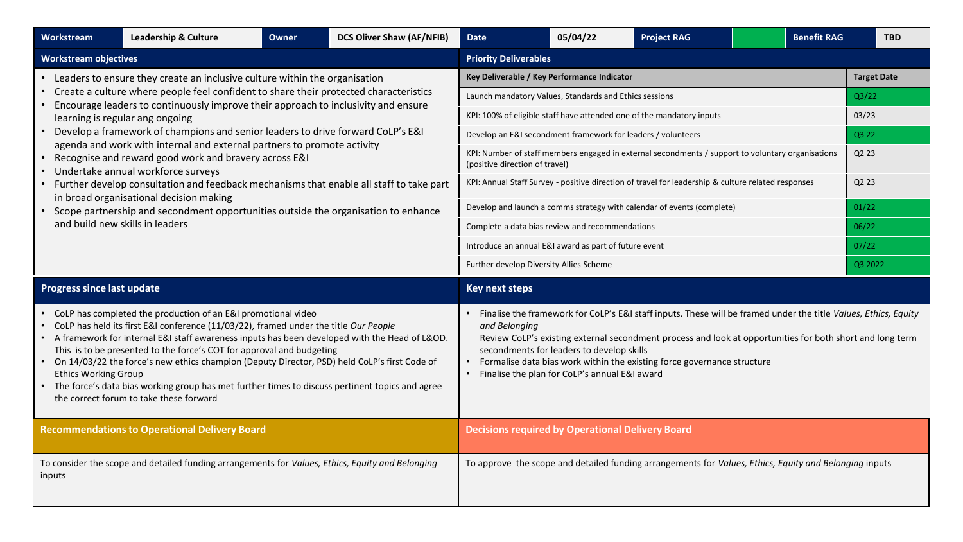| Workstream                        | Leadership & Culture                                                                                                                                                                                                                                                                                                                                                                                                                                                                                                                                                              | <b>Owner</b>                                                 | <b>DCS Oliver Shaw (AF/NFIB)</b> | <b>Date</b>                                                                                       | 05/04/22<br><b>Project RAG</b><br><b>Benefit RAG</b>                                               |                                                                                                                                                                                                                                                                                                         |       |                               |       |  |  |
|-----------------------------------|-----------------------------------------------------------------------------------------------------------------------------------------------------------------------------------------------------------------------------------------------------------------------------------------------------------------------------------------------------------------------------------------------------------------------------------------------------------------------------------------------------------------------------------------------------------------------------------|--------------------------------------------------------------|----------------------------------|---------------------------------------------------------------------------------------------------|----------------------------------------------------------------------------------------------------|---------------------------------------------------------------------------------------------------------------------------------------------------------------------------------------------------------------------------------------------------------------------------------------------------------|-------|-------------------------------|-------|--|--|
| <b>Workstream objectives</b>      |                                                                                                                                                                                                                                                                                                                                                                                                                                                                                                                                                                                   |                                                              |                                  | <b>Priority Deliverables</b>                                                                      |                                                                                                    |                                                                                                                                                                                                                                                                                                         |       |                               |       |  |  |
|                                   | • Leaders to ensure they create an inclusive culture within the organisation                                                                                                                                                                                                                                                                                                                                                                                                                                                                                                      |                                                              |                                  | Key Deliverable / Key Performance Indicator                                                       | <b>Target Date</b>                                                                                 |                                                                                                                                                                                                                                                                                                         |       |                               |       |  |  |
|                                   | Create a culture where people feel confident to share their protected characteristics<br>Encourage leaders to continuously improve their approach to inclusivity and ensure                                                                                                                                                                                                                                                                                                                                                                                                       | Launch mandatory Values, Standards and Ethics sessions       |                                  |                                                                                                   |                                                                                                    |                                                                                                                                                                                                                                                                                                         | Q3/22 |                               |       |  |  |
| learning is regular ang ongoing   |                                                                                                                                                                                                                                                                                                                                                                                                                                                                                                                                                                                   |                                                              |                                  | KPI: 100% of eligible staff have attended one of the mandatory inputs                             |                                                                                                    |                                                                                                                                                                                                                                                                                                         | 03/23 |                               |       |  |  |
|                                   | Develop a framework of champions and senior leaders to drive forward CoLP's E&I                                                                                                                                                                                                                                                                                                                                                                                                                                                                                                   | Develop an E&I secondment framework for leaders / volunteers |                                  |                                                                                                   |                                                                                                    |                                                                                                                                                                                                                                                                                                         | Q3 22 |                               |       |  |  |
|                                   | agenda and work with internal and external partners to promote activity<br>• Recognise and reward good work and bravery across E&I<br>Undertake annual workforce surveys                                                                                                                                                                                                                                                                                                                                                                                                          | (positive direction of travel)                               |                                  | KPI: Number of staff members engaged in external secondments / support to voluntary organisations |                                                                                                    |                                                                                                                                                                                                                                                                                                         | Q2 23 |                               |       |  |  |
|                                   | • Further develop consultation and feedback mechanisms that enable all staff to take part                                                                                                                                                                                                                                                                                                                                                                                                                                                                                         |                                                              |                                  |                                                                                                   | KPI: Annual Staff Survey - positive direction of travel for leadership & culture related responses |                                                                                                                                                                                                                                                                                                         |       | Q <sub>2</sub> 2 <sub>3</sub> |       |  |  |
|                                   | in broad organisational decision making<br>• Scope partnership and secondment opportunities outside the organisation to enhance                                                                                                                                                                                                                                                                                                                                                                                                                                                   |                                                              |                                  |                                                                                                   |                                                                                                    | Develop and launch a comms strategy with calendar of events (complete)                                                                                                                                                                                                                                  |       |                               | 01/22 |  |  |
| and build new skills in leaders   |                                                                                                                                                                                                                                                                                                                                                                                                                                                                                                                                                                                   | Complete a data bias review and recommendations              | 06/22                            |                                                                                                   |                                                                                                    |                                                                                                                                                                                                                                                                                                         |       |                               |       |  |  |
|                                   |                                                                                                                                                                                                                                                                                                                                                                                                                                                                                                                                                                                   |                                                              |                                  | Introduce an annual E&I award as part of future event                                             | 07/22                                                                                              |                                                                                                                                                                                                                                                                                                         |       |                               |       |  |  |
|                                   |                                                                                                                                                                                                                                                                                                                                                                                                                                                                                                                                                                                   |                                                              |                                  | Further develop Diversity Allies Scheme                                                           | Q3 2022                                                                                            |                                                                                                                                                                                                                                                                                                         |       |                               |       |  |  |
| <b>Progress since last update</b> |                                                                                                                                                                                                                                                                                                                                                                                                                                                                                                                                                                                   | <b>Key next steps</b>                                        |                                  |                                                                                                   |                                                                                                    |                                                                                                                                                                                                                                                                                                         |       |                               |       |  |  |
|                                   |                                                                                                                                                                                                                                                                                                                                                                                                                                                                                                                                                                                   |                                                              |                                  |                                                                                                   |                                                                                                    |                                                                                                                                                                                                                                                                                                         |       |                               |       |  |  |
| <b>Ethics Working Group</b>       | • CoLP has completed the production of an E&I promotional video<br>CoLP has held its first E&I conference (11/03/22), framed under the title Our People<br>• A framework for internal E&I staff awareness inputs has been developed with the Head of L&OD.<br>This is to be presented to the force's COT for approval and budgeting<br>On 14/03/22 the force's new ethics champion (Deputy Director, PSD) held CoLP's first Code of<br>The force's data bias working group has met further times to discuss pertinent topics and agree<br>the correct forum to take these forward |                                                              |                                  | and Belonging                                                                                     | secondments for leaders to develop skills<br>Finalise the plan for CoLP's annual E&I award         | Finalise the framework for CoLP's E&I staff inputs. These will be framed under the title Values, Ethics, Equity<br>Review CoLP's existing external secondment process and look at opportunities for both short and long term<br>Formalise data bias work within the existing force governance structure |       |                               |       |  |  |
|                                   | <b>Recommendations to Operational Delivery Board</b>                                                                                                                                                                                                                                                                                                                                                                                                                                                                                                                              |                                                              |                                  | <b>Decisions required by Operational Delivery Board</b>                                           |                                                                                                    |                                                                                                                                                                                                                                                                                                         |       |                               |       |  |  |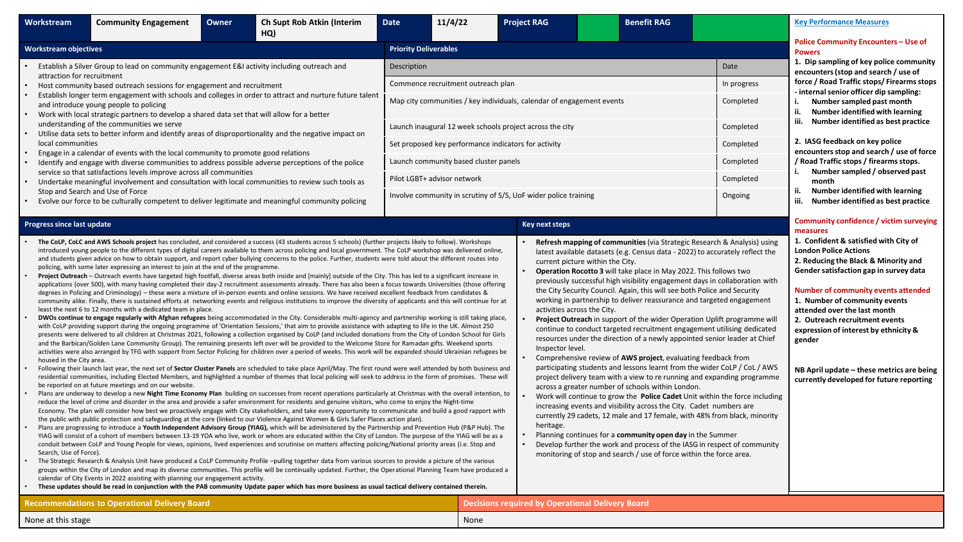| <b>Workstream</b>                                                                                                                                                                                                                                                                                                                                                                                                                                                                                                                                                                                                                                                                                                                                                                                                                                                                                                                                                                                                                                                                                                                                                                                                                                                                                                                                                                                                                                                                                                                                                                                                                                                                                                                                                                                                                                                                                                                                                                                                                                                                                                                                                                                                                                                                                                                                                                                                                                                                                                                                                                                                                                                                                                                                                                                                                                                                                                                                                                                                                                                                                                                                                                                                                                                                                                                                                                                                                                                                                                                                                                                                                                                                                                                                                                                                                                                                                                                                                                                                                                                                                                                                                                                 | <b>Community Engagement</b>                                                                                                             | Owner | Ch Supt Rob Atkin (Interim<br>HQ)                                                                      | <b>Date</b>                 | 11/4/22                                                                                                                                               | <b>Project RAG</b> |                                                                                                                                                                                                                                                                                                                                                                                                                                                                                                                                                                                                                                                                                                                                                                                                                                                                                                                                                                                                                                                                                                                                                                                                                                                                                                                                                                                                                                                                                                                                                    |         | <b>Benefit RAG</b> |                                                                                   |                                                                                       | <b>Key Performance Measures</b>                                                                                                                                                                                                                                                                                                                                                                                                                                                          |  |  |
|---------------------------------------------------------------------------------------------------------------------------------------------------------------------------------------------------------------------------------------------------------------------------------------------------------------------------------------------------------------------------------------------------------------------------------------------------------------------------------------------------------------------------------------------------------------------------------------------------------------------------------------------------------------------------------------------------------------------------------------------------------------------------------------------------------------------------------------------------------------------------------------------------------------------------------------------------------------------------------------------------------------------------------------------------------------------------------------------------------------------------------------------------------------------------------------------------------------------------------------------------------------------------------------------------------------------------------------------------------------------------------------------------------------------------------------------------------------------------------------------------------------------------------------------------------------------------------------------------------------------------------------------------------------------------------------------------------------------------------------------------------------------------------------------------------------------------------------------------------------------------------------------------------------------------------------------------------------------------------------------------------------------------------------------------------------------------------------------------------------------------------------------------------------------------------------------------------------------------------------------------------------------------------------------------------------------------------------------------------------------------------------------------------------------------------------------------------------------------------------------------------------------------------------------------------------------------------------------------------------------------------------------------------------------------------------------------------------------------------------------------------------------------------------------------------------------------------------------------------------------------------------------------------------------------------------------------------------------------------------------------------------------------------------------------------------------------------------------------------------------------------------------------------------------------------------------------------------------------------------------------------------------------------------------------------------------------------------------------------------------------------------------------------------------------------------------------------------------------------------------------------------------------------------------------------------------------------------------------------------------------------------------------------------------------------------------------------------------------------------------------------------------------------------------------------------------------------------------------------------------------------------------------------------------------------------------------------------------------------------------------------------------------------------------------------------------------------------------------------------------------------------------------------------------------------------------------|-----------------------------------------------------------------------------------------------------------------------------------------|-------|--------------------------------------------------------------------------------------------------------|-----------------------------|-------------------------------------------------------------------------------------------------------------------------------------------------------|--------------------|----------------------------------------------------------------------------------------------------------------------------------------------------------------------------------------------------------------------------------------------------------------------------------------------------------------------------------------------------------------------------------------------------------------------------------------------------------------------------------------------------------------------------------------------------------------------------------------------------------------------------------------------------------------------------------------------------------------------------------------------------------------------------------------------------------------------------------------------------------------------------------------------------------------------------------------------------------------------------------------------------------------------------------------------------------------------------------------------------------------------------------------------------------------------------------------------------------------------------------------------------------------------------------------------------------------------------------------------------------------------------------------------------------------------------------------------------------------------------------------------------------------------------------------------------|---------|--------------------|-----------------------------------------------------------------------------------|---------------------------------------------------------------------------------------|------------------------------------------------------------------------------------------------------------------------------------------------------------------------------------------------------------------------------------------------------------------------------------------------------------------------------------------------------------------------------------------------------------------------------------------------------------------------------------------|--|--|
| <b>Workstream objectives</b>                                                                                                                                                                                                                                                                                                                                                                                                                                                                                                                                                                                                                                                                                                                                                                                                                                                                                                                                                                                                                                                                                                                                                                                                                                                                                                                                                                                                                                                                                                                                                                                                                                                                                                                                                                                                                                                                                                                                                                                                                                                                                                                                                                                                                                                                                                                                                                                                                                                                                                                                                                                                                                                                                                                                                                                                                                                                                                                                                                                                                                                                                                                                                                                                                                                                                                                                                                                                                                                                                                                                                                                                                                                                                                                                                                                                                                                                                                                                                                                                                                                                                                                                                                      |                                                                                                                                         |       |                                                                                                        |                             | <b>Priority Deliverables</b>                                                                                                                          |                    |                                                                                                                                                                                                                                                                                                                                                                                                                                                                                                                                                                                                                                                                                                                                                                                                                                                                                                                                                                                                                                                                                                                                                                                                                                                                                                                                                                                                                                                                                                                                                    |         |                    |                                                                                   |                                                                                       | <b>Police Community Encounters - Use of</b><br><b>Powers</b>                                                                                                                                                                                                                                                                                                                                                                                                                             |  |  |
|                                                                                                                                                                                                                                                                                                                                                                                                                                                                                                                                                                                                                                                                                                                                                                                                                                                                                                                                                                                                                                                                                                                                                                                                                                                                                                                                                                                                                                                                                                                                                                                                                                                                                                                                                                                                                                                                                                                                                                                                                                                                                                                                                                                                                                                                                                                                                                                                                                                                                                                                                                                                                                                                                                                                                                                                                                                                                                                                                                                                                                                                                                                                                                                                                                                                                                                                                                                                                                                                                                                                                                                                                                                                                                                                                                                                                                                                                                                                                                                                                                                                                                                                                                                                   | Establish a Silver Group to lead on community engagement E&I activity including outreach and                                            |       |                                                                                                        | Description                 |                                                                                                                                                       |                    |                                                                                                                                                                                                                                                                                                                                                                                                                                                                                                                                                                                                                                                                                                                                                                                                                                                                                                                                                                                                                                                                                                                                                                                                                                                                                                                                                                                                                                                                                                                                                    |         | Date               |                                                                                   | 1. Dip sampling of key police community<br>encounters (stop and search / use of       |                                                                                                                                                                                                                                                                                                                                                                                                                                                                                          |  |  |
| attraction for recruitment<br>Host community based outreach sessions for engagement and recruitment<br>Establish longer term engagement with schools and colleges in order to attract and nurture future talent<br>and introduce young people to policing<br>Work with local strategic partners to develop a shared data set that will allow for a better                                                                                                                                                                                                                                                                                                                                                                                                                                                                                                                                                                                                                                                                                                                                                                                                                                                                                                                                                                                                                                                                                                                                                                                                                                                                                                                                                                                                                                                                                                                                                                                                                                                                                                                                                                                                                                                                                                                                                                                                                                                                                                                                                                                                                                                                                                                                                                                                                                                                                                                                                                                                                                                                                                                                                                                                                                                                                                                                                                                                                                                                                                                                                                                                                                                                                                                                                                                                                                                                                                                                                                                                                                                                                                                                                                                                                                         |                                                                                                                                         |       |                                                                                                        |                             | Commence recruitment outreach plan                                                                                                                    |                    |                                                                                                                                                                                                                                                                                                                                                                                                                                                                                                                                                                                                                                                                                                                                                                                                                                                                                                                                                                                                                                                                                                                                                                                                                                                                                                                                                                                                                                                                                                                                                    |         |                    | In progress                                                                       | force / Road Traffic stops/ Firearms stops<br>- internal senior officer dip sampling: |                                                                                                                                                                                                                                                                                                                                                                                                                                                                                          |  |  |
|                                                                                                                                                                                                                                                                                                                                                                                                                                                                                                                                                                                                                                                                                                                                                                                                                                                                                                                                                                                                                                                                                                                                                                                                                                                                                                                                                                                                                                                                                                                                                                                                                                                                                                                                                                                                                                                                                                                                                                                                                                                                                                                                                                                                                                                                                                                                                                                                                                                                                                                                                                                                                                                                                                                                                                                                                                                                                                                                                                                                                                                                                                                                                                                                                                                                                                                                                                                                                                                                                                                                                                                                                                                                                                                                                                                                                                                                                                                                                                                                                                                                                                                                                                                                   |                                                                                                                                         |       |                                                                                                        |                             | Map city communities / key individuals, calendar of engagement events                                                                                 |                    |                                                                                                                                                                                                                                                                                                                                                                                                                                                                                                                                                                                                                                                                                                                                                                                                                                                                                                                                                                                                                                                                                                                                                                                                                                                                                                                                                                                                                                                                                                                                                    |         |                    |                                                                                   | Completed                                                                             | Number sampled past month<br>i.<br>ii.<br>Number identified with learning                                                                                                                                                                                                                                                                                                                                                                                                                |  |  |
|                                                                                                                                                                                                                                                                                                                                                                                                                                                                                                                                                                                                                                                                                                                                                                                                                                                                                                                                                                                                                                                                                                                                                                                                                                                                                                                                                                                                                                                                                                                                                                                                                                                                                                                                                                                                                                                                                                                                                                                                                                                                                                                                                                                                                                                                                                                                                                                                                                                                                                                                                                                                                                                                                                                                                                                                                                                                                                                                                                                                                                                                                                                                                                                                                                                                                                                                                                                                                                                                                                                                                                                                                                                                                                                                                                                                                                                                                                                                                                                                                                                                                                                                                                                                   | understanding of the communities we serve                                                                                               |       | Utilise data sets to better inform and identify areas of disproportionality and the negative impact on |                             | Launch inaugural 12 week schools project across the city                                                                                              |                    |                                                                                                                                                                                                                                                                                                                                                                                                                                                                                                                                                                                                                                                                                                                                                                                                                                                                                                                                                                                                                                                                                                                                                                                                                                                                                                                                                                                                                                                                                                                                                    |         |                    |                                                                                   | Completed                                                                             | Number identified as best practice<br>iii.                                                                                                                                                                                                                                                                                                                                                                                                                                               |  |  |
| local communities                                                                                                                                                                                                                                                                                                                                                                                                                                                                                                                                                                                                                                                                                                                                                                                                                                                                                                                                                                                                                                                                                                                                                                                                                                                                                                                                                                                                                                                                                                                                                                                                                                                                                                                                                                                                                                                                                                                                                                                                                                                                                                                                                                                                                                                                                                                                                                                                                                                                                                                                                                                                                                                                                                                                                                                                                                                                                                                                                                                                                                                                                                                                                                                                                                                                                                                                                                                                                                                                                                                                                                                                                                                                                                                                                                                                                                                                                                                                                                                                                                                                                                                                                                                 | Engage in a calendar of events with the local community to promote good relations                                                       |       |                                                                                                        |                             | Set proposed key performance indicators for activity                                                                                                  |                    |                                                                                                                                                                                                                                                                                                                                                                                                                                                                                                                                                                                                                                                                                                                                                                                                                                                                                                                                                                                                                                                                                                                                                                                                                                                                                                                                                                                                                                                                                                                                                    |         |                    |                                                                                   | Completed                                                                             | 2. IASG feedback on key police<br>encounters stop and search / use of force                                                                                                                                                                                                                                                                                                                                                                                                              |  |  |
|                                                                                                                                                                                                                                                                                                                                                                                                                                                                                                                                                                                                                                                                                                                                                                                                                                                                                                                                                                                                                                                                                                                                                                                                                                                                                                                                                                                                                                                                                                                                                                                                                                                                                                                                                                                                                                                                                                                                                                                                                                                                                                                                                                                                                                                                                                                                                                                                                                                                                                                                                                                                                                                                                                                                                                                                                                                                                                                                                                                                                                                                                                                                                                                                                                                                                                                                                                                                                                                                                                                                                                                                                                                                                                                                                                                                                                                                                                                                                                                                                                                                                                                                                                                                   |                                                                                                                                         |       | Identify and engage with diverse communities to address possible adverse perceptions of the police     |                             | Launch community based cluster panels                                                                                                                 |                    |                                                                                                                                                                                                                                                                                                                                                                                                                                                                                                                                                                                                                                                                                                                                                                                                                                                                                                                                                                                                                                                                                                                                                                                                                                                                                                                                                                                                                                                                                                                                                    |         |                    |                                                                                   | Completed                                                                             | / Road Traffic stops / firearms stops.<br>Number sampled / observed past<br>i.                                                                                                                                                                                                                                                                                                                                                                                                           |  |  |
|                                                                                                                                                                                                                                                                                                                                                                                                                                                                                                                                                                                                                                                                                                                                                                                                                                                                                                                                                                                                                                                                                                                                                                                                                                                                                                                                                                                                                                                                                                                                                                                                                                                                                                                                                                                                                                                                                                                                                                                                                                                                                                                                                                                                                                                                                                                                                                                                                                                                                                                                                                                                                                                                                                                                                                                                                                                                                                                                                                                                                                                                                                                                                                                                                                                                                                                                                                                                                                                                                                                                                                                                                                                                                                                                                                                                                                                                                                                                                                                                                                                                                                                                                                                                   | service so that satisfactions levels improve across all communities                                                                     |       | Undertake meaningful involvement and consultation with local communities to review such tools as       | Pilot LGBT+ advisor network |                                                                                                                                                       |                    |                                                                                                                                                                                                                                                                                                                                                                                                                                                                                                                                                                                                                                                                                                                                                                                                                                                                                                                                                                                                                                                                                                                                                                                                                                                                                                                                                                                                                                                                                                                                                    |         |                    |                                                                                   | Completed                                                                             | month                                                                                                                                                                                                                                                                                                                                                                                                                                                                                    |  |  |
|                                                                                                                                                                                                                                                                                                                                                                                                                                                                                                                                                                                                                                                                                                                                                                                                                                                                                                                                                                                                                                                                                                                                                                                                                                                                                                                                                                                                                                                                                                                                                                                                                                                                                                                                                                                                                                                                                                                                                                                                                                                                                                                                                                                                                                                                                                                                                                                                                                                                                                                                                                                                                                                                                                                                                                                                                                                                                                                                                                                                                                                                                                                                                                                                                                                                                                                                                                                                                                                                                                                                                                                                                                                                                                                                                                                                                                                                                                                                                                                                                                                                                                                                                                                                   | Stop and Search and Use of Force<br>Evolve our force to be culturally competent to deliver legitimate and meaningful community policing |       | Involve community in scrutiny of S/S, UoF wider police training                                        |                             |                                                                                                                                                       |                    |                                                                                                                                                                                                                                                                                                                                                                                                                                                                                                                                                                                                                                                                                                                                                                                                                                                                                                                                                                                                                                                                                                                                                                                                                                                                                                                                                                                                                                                                                                                                                    | Ongoing |                    | Number identified with learning<br>ii.<br>iii. Number identified as best practice |                                                                                       |                                                                                                                                                                                                                                                                                                                                                                                                                                                                                          |  |  |
|                                                                                                                                                                                                                                                                                                                                                                                                                                                                                                                                                                                                                                                                                                                                                                                                                                                                                                                                                                                                                                                                                                                                                                                                                                                                                                                                                                                                                                                                                                                                                                                                                                                                                                                                                                                                                                                                                                                                                                                                                                                                                                                                                                                                                                                                                                                                                                                                                                                                                                                                                                                                                                                                                                                                                                                                                                                                                                                                                                                                                                                                                                                                                                                                                                                                                                                                                                                                                                                                                                                                                                                                                                                                                                                                                                                                                                                                                                                                                                                                                                                                                                                                                                                                   |                                                                                                                                         |       |                                                                                                        |                             |                                                                                                                                                       | Key next steps     |                                                                                                                                                                                                                                                                                                                                                                                                                                                                                                                                                                                                                                                                                                                                                                                                                                                                                                                                                                                                                                                                                                                                                                                                                                                                                                                                                                                                                                                                                                                                                    |         |                    |                                                                                   |                                                                                       | measures                                                                                                                                                                                                                                                                                                                                                                                                                                                                                 |  |  |
| Progress since last update<br>The CoLP, CoLC and AWS Schools project has concluded, and considered a success (43 students across 5 schools) (further projects likely to follow). Workshops<br>introduced young people to the different types of digital careers available to them across policing and local government. The CoLP workshop was delivered online,<br>and students given advice on how to obtain support, and report cyber bullying concerns to the police. Further, students were told about the different routes into<br>policing, with some later expressing an interest to join at the end of the programme.<br>Project Outreach - Outreach events have targeted high footfall, diverse areas both inside and [mainly] outside of the City. This has led to a significant increase in<br>applications (over 500), with many having completed their day-2 recruitment assessments already. There has also been a focus towards Universities (those offering<br>degrees in Policing and Criminology) - these were a mixture of in-person events and online sessions. We have received excellent feedback from candidates &<br>community alike. Finally, there is sustained efforts at networking events and religious institutions to improve the diversity of applicants and this will continue for at<br>least the next 6 to 12 months with a dedicated team in place.<br>DWOs continue to engage regularly with Afghan refugees being accommodated in the City. Considerable multi-agency and partnership working is still taking place,<br>with CoLP providing support during the ongoing programme of 'Orientation Sessions,' that aim to provide assistance with adapting to life in the UK. Almost 250<br>presents were delivered to all children at Christmas 2021, following a collection organised by CoLP (and included donations from the City of London School for Girls<br>and the Barbican/Golden Lane Community Group). The remaining presents left over will be provided to the Welcome Store for Ramadan gifts. Weekend sports<br>activities were also arranged by TFG with support from Sector Policing for children over a period of weeks. This work will be expanded should Ukrainian refugees be<br>housed in the City area.<br>Following their launch last year, the next set of Sector Cluster Panels are scheduled to take place April/May. The first round were well attended by both business and<br>residential communities, including Elected Members, and highlighted a number of themes that local policing will seek to address in the form of promises. These will<br>be reported on at future meetings and on our website.<br>Plans are underway to develop a new Night Time Economy Plan building on successes from recent operations particularly at Christmas with the overall intention, to<br>reduce the level of crime and disorder in the area and provide a safer environment for residents and genuine visitors, who come to enjoy the Night-time<br>Economy. The plan will consider how best we proactively engage with City stakeholders, and take every opportunity to communicate and build a good rapport with<br>the public with public protection and safeguarding at the core (linked to our Violence Against Women & Girls Safer Places action plan).<br>Plans are progressing to introduce a Youth Independent Advisory Group (YIAG), which will be administered by the Partnership and Prevention Hub (P&P Hub). The<br>YIAG will consist of a cohort of members between 13-19 YOA who live, work or whom are educated within the City of London. The purpose of the YIAG will be as a<br>conduit between CoLP and Young People for views, opinions, lived experiences and scrutinise on matters affecting policing/National priority areas (i.e. Stop and<br>Search, Use of Force).<br>The Strategic Research & Analysis Unit have produced a CoLP Community Profile -pulling together data from various sources to provide a picture of the various<br>groups within the City of London and map its diverse communities. This profile will be continually updated. Further, the Operational Planning Team have produced a |                                                                                                                                         |       |                                                                                                        |                             | These updates should be read in conjunction with the PAB community Update paper which has more business as usual tactical delivery contained therein. |                    | Refresh mapping of communities (via Strategic Research & Analysis) using<br>latest available datasets (e.g. Census data - 2022) to accurately reflect the<br>current picture within the City.<br>Operation Rocotto 3 will take place in May 2022. This follows two<br>previously successful high visibility engagement days in collaboration with<br>the City Security Council. Again, this will see both Police and Security<br>working in partnership to deliver reassurance and targeted engagement<br>activities across the City.<br><b>Project Outreach</b> in support of the wider Operation Uplift programme will<br>continue to conduct targeted recruitment engagement utilising dedicated<br>resources under the direction of a newly appointed senior leader at Chief<br>Inspector level.<br>Comprehensive review of AWS project, evaluating feedback from<br>participating students and lessons learnt from the wider CoLP / CoL / AWS<br>project delivery team with a view to re running and expanding programme<br>across a greater number of schools within London.<br>Work will continue to grow the Police Cadet Unit within the force including<br>increasing events and visibility across the City. Cadet numbers are<br>currently 29 cadets, 12 male and 17 female, with 48% from black, minority<br>heritage.<br>Planning continues for a community open day in the Summer<br>Develop further the work and process of the IASG in respect of community<br>monitoring of stop and search / use of force within the force area. |         |                    |                                                                                   |                                                                                       | Community confidence / victim surveying<br>1. Confident & satisfied with City of<br><b>London Police Actions</b><br>2. Reducing the Black & Minority and<br>Gender satisfaction gap in survey data<br>Number of community events attended<br>1. Number of community events<br>attended over the last month<br>2. Outreach recruitment events<br>expression of interest by ethnicity &<br>gender<br>NB April update - these metrics are being<br>currently developed for future reporting |  |  |
|                                                                                                                                                                                                                                                                                                                                                                                                                                                                                                                                                                                                                                                                                                                                                                                                                                                                                                                                                                                                                                                                                                                                                                                                                                                                                                                                                                                                                                                                                                                                                                                                                                                                                                                                                                                                                                                                                                                                                                                                                                                                                                                                                                                                                                                                                                                                                                                                                                                                                                                                                                                                                                                                                                                                                                                                                                                                                                                                                                                                                                                                                                                                                                                                                                                                                                                                                                                                                                                                                                                                                                                                                                                                                                                                                                                                                                                                                                                                                                                                                                                                                                                                                                                                   | <b>Recommendations to Operational Delivery Board</b>                                                                                    |       |                                                                                                        |                             |                                                                                                                                                       |                    | <b>Decisions required by Operational Delivery Board</b>                                                                                                                                                                                                                                                                                                                                                                                                                                                                                                                                                                                                                                                                                                                                                                                                                                                                                                                                                                                                                                                                                                                                                                                                                                                                                                                                                                                                                                                                                            |         |                    |                                                                                   |                                                                                       |                                                                                                                                                                                                                                                                                                                                                                                                                                                                                          |  |  |
| None at this stage                                                                                                                                                                                                                                                                                                                                                                                                                                                                                                                                                                                                                                                                                                                                                                                                                                                                                                                                                                                                                                                                                                                                                                                                                                                                                                                                                                                                                                                                                                                                                                                                                                                                                                                                                                                                                                                                                                                                                                                                                                                                                                                                                                                                                                                                                                                                                                                                                                                                                                                                                                                                                                                                                                                                                                                                                                                                                                                                                                                                                                                                                                                                                                                                                                                                                                                                                                                                                                                                                                                                                                                                                                                                                                                                                                                                                                                                                                                                                                                                                                                                                                                                                                                |                                                                                                                                         |       |                                                                                                        |                             | None                                                                                                                                                  |                    |                                                                                                                                                                                                                                                                                                                                                                                                                                                                                                                                                                                                                                                                                                                                                                                                                                                                                                                                                                                                                                                                                                                                                                                                                                                                                                                                                                                                                                                                                                                                                    |         |                    |                                                                                   |                                                                                       |                                                                                                                                                                                                                                                                                                                                                                                                                                                                                          |  |  |